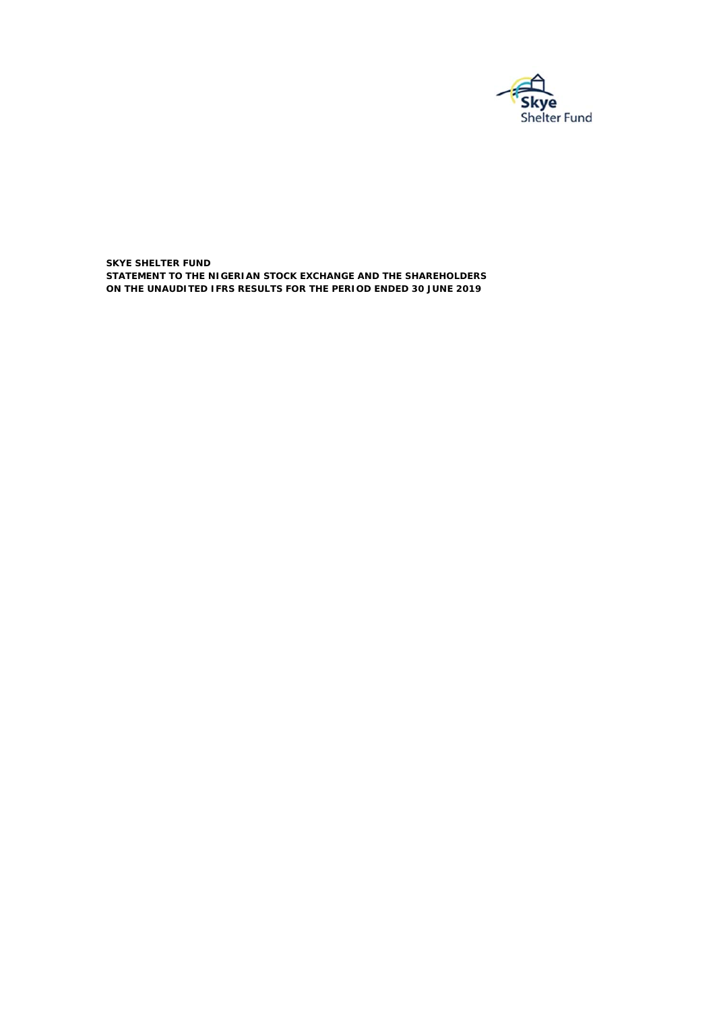

**SKYE SHELTER FUND ON THE UNAUDITED IFRS RESULTS FOR THE PERIOD ENDED 30 JUNE 2019 STATEMENT TO THE NIGERIAN STOCK EXCHANGE AND THE SHAREHOLDERS**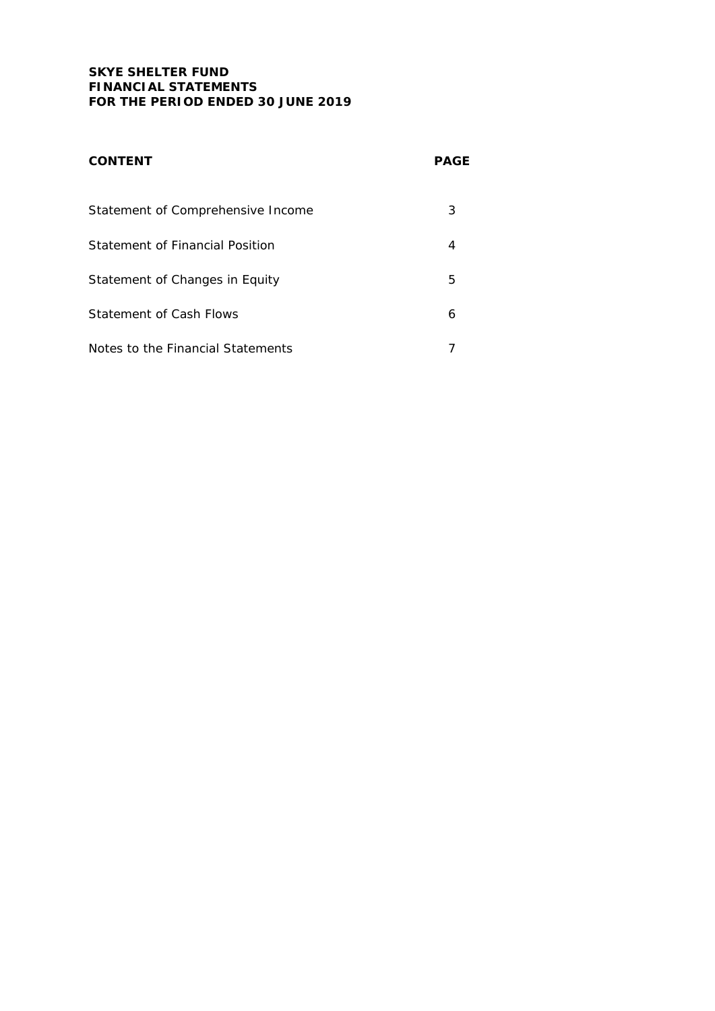# **SKYE SHELTER FUND FINANCIAL STATEMENTS FOR THE PERIOD ENDED 30 JUNE 2019**

| <b>CONTENT</b>                    | PAGE |
|-----------------------------------|------|
| Statement of Comprehensive Income | 3    |
| Statement of Financial Position   | 4    |
| Statement of Changes in Equity    | 5    |
| Statement of Cash Flows           | 6    |
| Notes to the Financial Statements |      |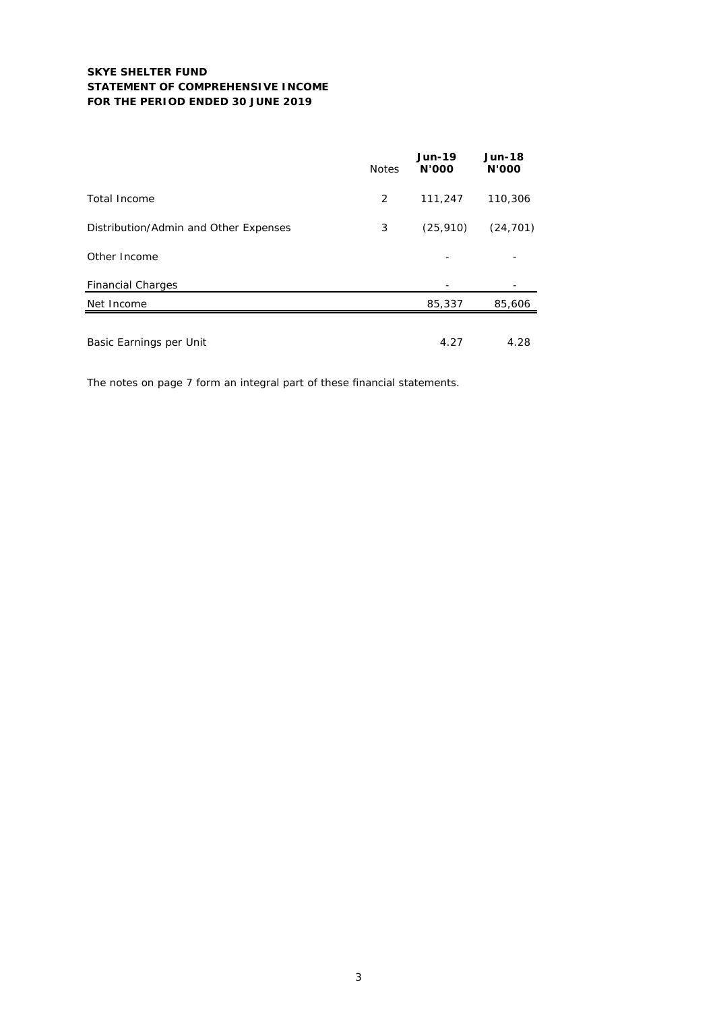## **SKYE SHELTER FUND STATEMENT OF COMPREHENSIVE INCOME FOR THE PERIOD ENDED 30 JUNE 2019**

|                                       | <b>Notes</b> | <b>Jun-19</b><br><b>N'OOO</b> | <b>Jun-18</b><br><b>N'OOO</b> |
|---------------------------------------|--------------|-------------------------------|-------------------------------|
| Total Income                          | 2            | 111,247                       | 110,306                       |
| Distribution/Admin and Other Expenses | 3            | (25, 910)                     | (24, 701)                     |
| Other Income                          |              |                               |                               |
| <b>Financial Charges</b>              |              |                               |                               |
| Net Income                            |              | 85,337                        | 85,606                        |
| Basic Earnings per Unit               |              | 4.27                          | 4.28                          |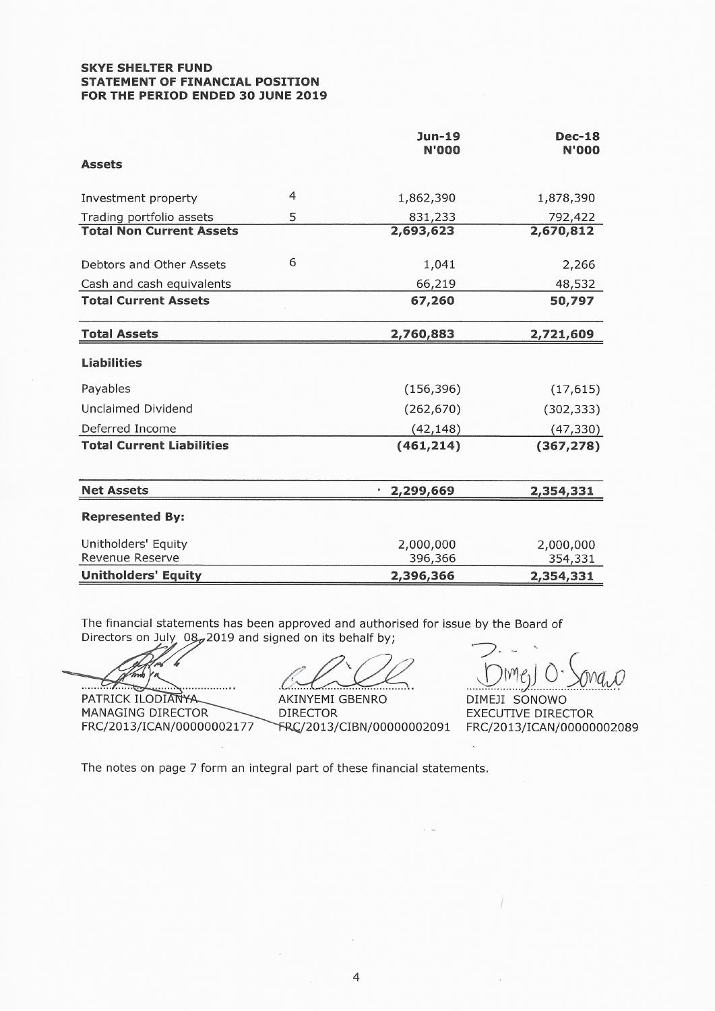### **SKYE SHELTER FUND STATEMENT OF FINANCIAL POSITION** FOR THE PERIOD ENDED 30 JUNE 2019

|                                        |   | Jun-19<br><b>N'000</b> | $Dec-18$<br><b>N'000</b> |
|----------------------------------------|---|------------------------|--------------------------|
| <b>Assets</b>                          |   |                        |                          |
| Investment property                    | 4 | 1,862,390              | 1,878,390                |
| Trading portfolio assets               | 5 | 831,233                | 792,422                  |
| <b>Total Non Current Assets</b>        |   | 2,693,623              | 2,670,812                |
| Debtors and Other Assets               | 6 | 1,041                  | 2,266                    |
| Cash and cash equivalents              |   | 66,219                 | 48,532                   |
| <b>Total Current Assets</b>            |   | 67,260                 | 50,797                   |
| <b>Total Assets</b>                    |   | 2,760,883              | 2,721,609                |
| <b>Liabilities</b>                     |   |                        |                          |
| Payables                               |   | (156, 396)             | (17, 615)                |
| Unclaimed Dividend                     |   | (262, 670)             | (302, 333)               |
| Deferred Income                        |   | (42, 148)              | (47, 330)                |
| <b>Total Current Liabilities</b>       |   | (461, 214)             | (367, 278)               |
| <b>Net Assets</b>                      |   | 2,299,669              | 2,354,331                |
| <b>Represented By:</b>                 |   |                        |                          |
| Unitholders' Equity<br>Revenue Reserve |   | 2,000,000<br>396,366   | 2,000,000<br>354,331     |
| <b>Unitholders' Equity</b>             |   | 2,396,366              | 2,354,331                |

The financial statements has been approved and authorised for issue by the Board of Directors on July  $08<sub>p</sub>$  2019 and signed on its behalf by;

mob  $\overline{\mathscr{A}}$  $\overline{\phantom{a}}$ 

PATRICK ILODIANYA MANAGING DIRECTOR FRC/2013/ICAN/00000002177

AKINYEMI GBENRO **DIRECTOR** FRC/2013/CIBN/00000002091

DIMEJI SONOWO **EXECUTIVE DIRECTOR** FRC/2013/ICAN/00000002089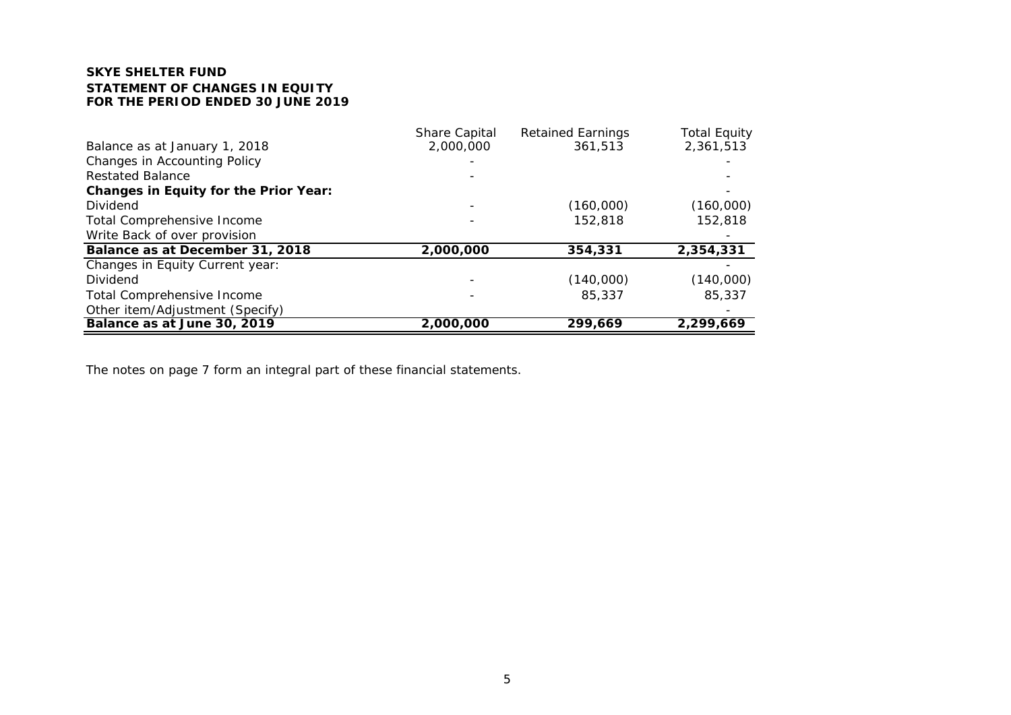# **SKYE SHELTER FUNDSTATEMENT OF CHANGES IN EQUITYFOR THE PERIOD ENDED 30 JUNE 2019**

|                                              | Share Capital | <b>Retained Earnings</b> | <b>Total Equity</b> |
|----------------------------------------------|---------------|--------------------------|---------------------|
| Balance as at January 1, 2018                | 2,000,000     | 361,513                  | 2,361,513           |
| <b>Changes in Accounting Policy</b>          |               |                          |                     |
| <b>Restated Balance</b>                      |               |                          |                     |
| <b>Changes in Equity for the Prior Year:</b> |               |                          |                     |
| Dividend                                     |               | (160,000)                | (160,000)           |
| Total Comprehensive Income                   |               | 152,818                  | 152,818             |
| Write Back of over provision                 |               |                          |                     |
| Balance as at December 31, 2018              | 2,000,000     | 354,331                  | 2,354,331           |
| Changes in Equity Current year:              |               |                          |                     |
| Dividend                                     |               | (140,000)                | (140,000)           |
| Total Comprehensive Income                   |               | 85,337                   | 85,337              |
| Other item/Adjustment (Specify)              |               |                          |                     |
| Balance as at June 30, 2019                  | 2,000,000     | 299,669                  | 2,299,669           |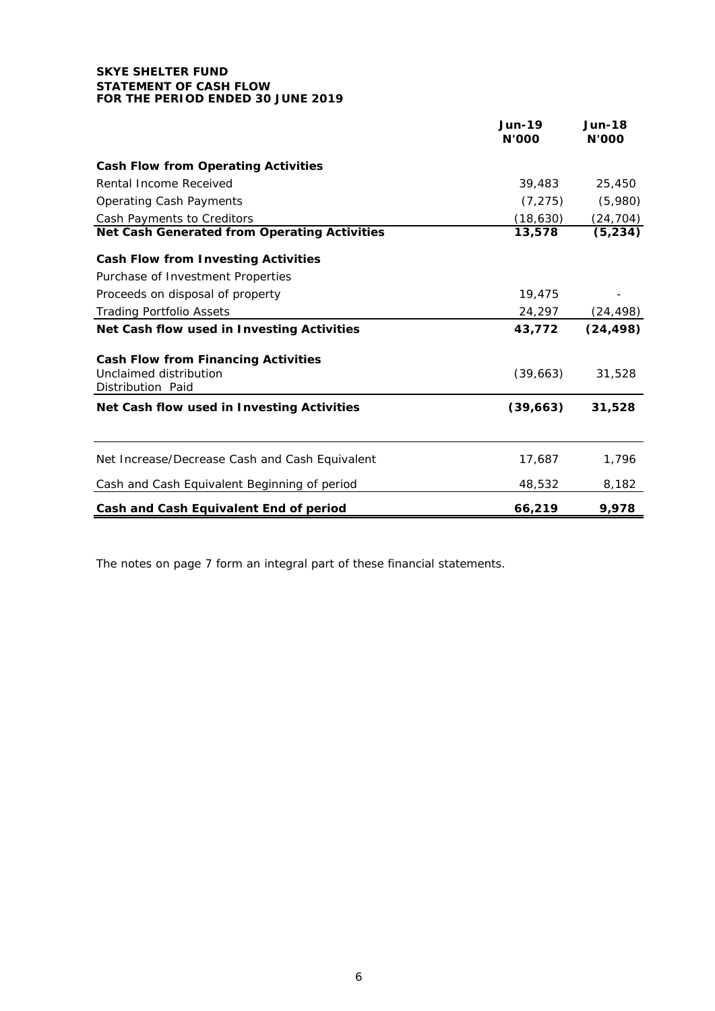### **SKYE SHELTER FUND STATEMENT OF CASH FLOW FOR THE PERIOD ENDED 30 JUNE 2019**

|                                                                                           | <b>Jun-19</b><br><b>N'000</b> | <b>Jun-18</b><br><b>N'000</b> |
|-------------------------------------------------------------------------------------------|-------------------------------|-------------------------------|
| <b>Cash Flow from Operating Activities</b>                                                |                               |                               |
| Rental Income Received                                                                    | 39,483                        | 25,450                        |
| <b>Operating Cash Payments</b>                                                            | (7, 275)                      | (5,980)                       |
| Cash Payments to Creditors                                                                | (18, 630)                     | (24, 704)                     |
| <b>Net Cash Generated from Operating Activities</b>                                       | 13,578                        | (5, 234)                      |
| <b>Cash Flow from Investing Activities</b>                                                |                               |                               |
| Purchase of Investment Properties                                                         |                               |                               |
| Proceeds on disposal of property                                                          | 19,475                        |                               |
| <b>Trading Portfolio Assets</b>                                                           | 24,297                        | (24, 498)                     |
| Net Cash flow used in Investing Activities                                                | 43,772                        | (24, 498)                     |
| <b>Cash Flow from Financing Activities</b><br>Unclaimed distribution<br>Distribution Paid | (39,663)                      | 31,528                        |
| Net Cash flow used in Investing Activities                                                | (39, 663)                     | 31,528                        |
| Net Increase/Decrease Cash and Cash Equivalent                                            | 17,687                        | 1,796                         |
|                                                                                           |                               |                               |
| Cash and Cash Equivalent Beginning of period                                              | 48,532                        | 8,182                         |
| Cash and Cash Equivalent End of period                                                    | 66,219                        | 9,978                         |